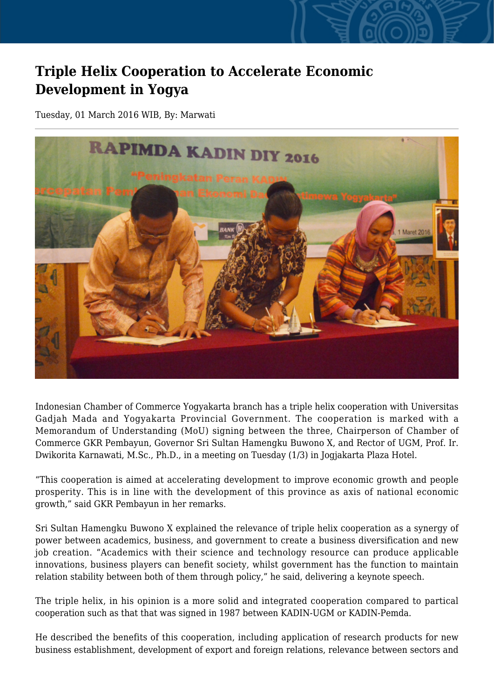## **Triple Helix Cooperation to Accelerate Economic Development in Yogya**

Tuesday, 01 March 2016 WIB, By: Marwati



Indonesian Chamber of Commerce Yogyakarta branch has a triple helix cooperation with Universitas Gadjah Mada and Yogyakarta Provincial Government. The cooperation is marked with a Memorandum of Understanding (MoU) signing between the three, Chairperson of Chamber of Commerce GKR Pembayun, Governor Sri Sultan Hamengku Buwono X, and Rector of UGM, Prof. Ir. Dwikorita Karnawati, M.Sc., Ph.D., in a meeting on Tuesday (1/3) in Jogjakarta Plaza Hotel.

"This cooperation is aimed at accelerating development to improve economic growth and people prosperity. This is in line with the development of this province as axis of national economic growth," said GKR Pembayun in her remarks.

Sri Sultan Hamengku Buwono X explained the relevance of triple helix cooperation as a synergy of power between academics, business, and government to create a business diversification and new job creation. "Academics with their science and technology resource can produce applicable innovations, business players can benefit society, whilst government has the function to maintain relation stability between both of them through policy," he said, delivering a keynote speech.

The triple helix, in his opinion is a more solid and integrated cooperation compared to partical cooperation such as that that was signed in 1987 between KADIN-UGM or KADIN-Pemda.

He described the benefits of this cooperation, including application of research products for new business establishment, development of export and foreign relations, relevance between sectors and